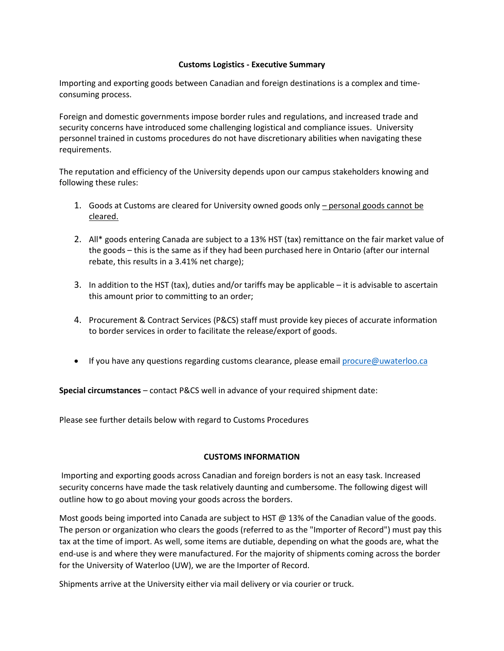#### **Customs Logistics - Executive Summary**

Importing and exporting goods between Canadian and foreign destinations is a complex and timeconsuming process.

Foreign and domestic governments impose border rules and regulations, and increased trade and security concerns have introduced some challenging logistical and compliance issues. University personnel trained in customs procedures do not have discretionary abilities when navigating these requirements.

The reputation and efficiency of the University depends upon our campus stakeholders knowing and following these rules:

- 1. Goods at Customs are cleared for University owned goods only personal goods cannot be cleared.
- 2. All\* goods entering Canada are subject to a 13% HST (tax) remittance on the fair market value of the goods – this is the same as if they had been purchased here in Ontario (after our internal rebate, this results in a 3.41% net charge);
- 3. In addition to the HST (tax), duties and/or tariffs may be applicable it is advisable to ascertain this amount prior to committing to an order;
- 4. Procurement & Contract Services (P&CS) staff must provide key pieces of accurate information to border services in order to facilitate the release/export of goods.
- If you have any questions regarding customs clearance, please emai[l procure@uwaterloo.ca](mailto:procure@uwaterloo.ca)

**Special circumstances** – contact P&CS well in advance of your required shipment date:

Please see further details below with regard to Customs Procedures

### **CUSTOMS INFORMATION**

Importing and exporting goods across Canadian and foreign borders is not an easy task. Increased security concerns have made the task relatively daunting and cumbersome. The following digest will outline how to go about moving your goods across the borders.

Most goods being imported into Canada are subject to HST @ 13% of the Canadian value of the goods. The person or organization who clears the goods (referred to as the "Importer of Record") must pay this tax at the time of import. As well, some items are dutiable, depending on what the goods are, what the end-use is and where they were manufactured. For the majority of shipments coming across the border for the University of Waterloo (UW), we are the Importer of Record.

Shipments arrive at the University either via mail delivery or via courier or truck.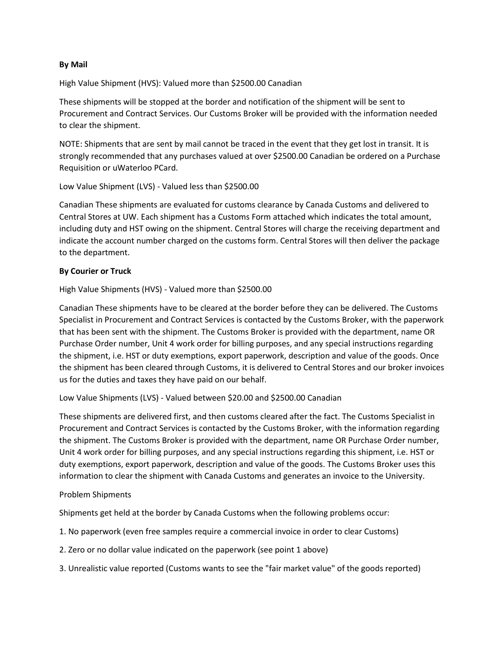### **By Mail**

High Value Shipment (HVS): Valued more than \$2500.00 Canadian

These shipments will be stopped at the border and notification of the shipment will be sent to Procurement and Contract Services. Our Customs Broker will be provided with the information needed to clear the shipment.

NOTE: Shipments that are sent by mail cannot be traced in the event that they get lost in transit. It is strongly recommended that any purchases valued at over \$2500.00 Canadian be ordered on a Purchase Requisition or uWaterloo PCard.

Low Value Shipment (LVS) - Valued less than \$2500.00

Canadian These shipments are evaluated for customs clearance by Canada Customs and delivered to Central Stores at UW. Each shipment has a Customs Form attached which indicates the total amount, including duty and HST owing on the shipment. Central Stores will charge the receiving department and indicate the account number charged on the customs form. Central Stores will then deliver the package to the department.

# **By Courier or Truck**

High Value Shipments (HVS) - Valued more than \$2500.00

Canadian These shipments have to be cleared at the border before they can be delivered. The Customs Specialist in Procurement and Contract Services is contacted by the Customs Broker, with the paperwork that has been sent with the shipment. The Customs Broker is provided with the department, name OR Purchase Order number, Unit 4 work order for billing purposes, and any special instructions regarding the shipment, i.e. HST or duty exemptions, export paperwork, description and value of the goods. Once the shipment has been cleared through Customs, it is delivered to Central Stores and our broker invoices us for the duties and taxes they have paid on our behalf.

Low Value Shipments (LVS) - Valued between \$20.00 and \$2500.00 Canadian

These shipments are delivered first, and then customs cleared after the fact. The Customs Specialist in Procurement and Contract Services is contacted by the Customs Broker, with the information regarding the shipment. The Customs Broker is provided with the department, name OR Purchase Order number, Unit 4 work order for billing purposes, and any special instructions regarding this shipment, i.e. HST or duty exemptions, export paperwork, description and value of the goods. The Customs Broker uses this information to clear the shipment with Canada Customs and generates an invoice to the University.

### Problem Shipments

Shipments get held at the border by Canada Customs when the following problems occur:

- 1. No paperwork (even free samples require a commercial invoice in order to clear Customs)
- 2. Zero or no dollar value indicated on the paperwork (see point 1 above)
- 3. Unrealistic value reported (Customs wants to see the "fair market value" of the goods reported)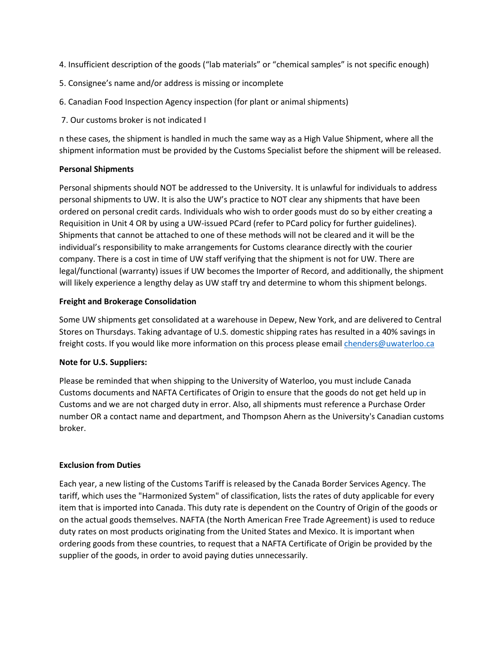- 4. Insufficient description of the goods ("lab materials" or "chemical samples" is not specific enough)
- 5. Consignee's name and/or address is missing or incomplete
- 6. Canadian Food Inspection Agency inspection (for plant or animal shipments)
- 7. Our customs broker is not indicated I

n these cases, the shipment is handled in much the same way as a High Value Shipment, where all the shipment information must be provided by the Customs Specialist before the shipment will be released.

# **Personal Shipments**

Personal shipments should NOT be addressed to the University. It is unlawful for individuals to address personal shipments to UW. It is also the UW's practice to NOT clear any shipments that have been ordered on personal credit cards. Individuals who wish to order goods must do so by either creating a Requisition in Unit 4 OR by using a UW-issued PCard (refer to PCard policy for further guidelines). Shipments that cannot be attached to one of these methods will not be cleared and it will be the individual's responsibility to make arrangements for Customs clearance directly with the courier company. There is a cost in time of UW staff verifying that the shipment is not for UW. There are legal/functional (warranty) issues if UW becomes the Importer of Record, and additionally, the shipment will likely experience a lengthy delay as UW staff try and determine to whom this shipment belongs.

# **Freight and Brokerage Consolidation**

Some UW shipments get consolidated at a warehouse in Depew, New York, and are delivered to Central Stores on Thursdays. Taking advantage of U.S. domestic shipping rates has resulted in a 40% savings in freight costs. If you would like more information on this process please email [chenders@uwaterloo.ca](mailto:chenders@uwaterloo.ca)

### **Note for U.S. Suppliers:**

Please be reminded that when shipping to the University of Waterloo, you must include Canada Customs documents and NAFTA Certificates of Origin to ensure that the goods do not get held up in Customs and we are not charged duty in error. Also, all shipments must reference a Purchase Order number OR a contact name and department, and Thompson Ahern as the University's Canadian customs broker.

### **Exclusion from Duties**

Each year, a new listing of the Customs Tariff is released by the Canada Border Services Agency. The tariff, which uses the "Harmonized System" of classification, lists the rates of duty applicable for every item that is imported into Canada. This duty rate is dependent on the Country of Origin of the goods or on the actual goods themselves. NAFTA (the North American Free Trade Agreement) is used to reduce duty rates on most products originating from the United States and Mexico. It is important when ordering goods from these countries, to request that a NAFTA Certificate of Origin be provided by the supplier of the goods, in order to avoid paying duties unnecessarily.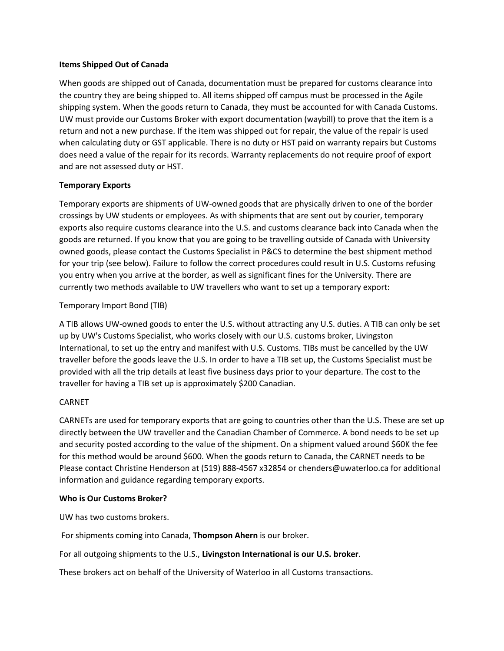### **Items Shipped Out of Canada**

When goods are shipped out of Canada, documentation must be prepared for customs clearance into the country they are being shipped to. All items shipped off campus must be processed in the Agile shipping system. When the goods return to Canada, they must be accounted for with Canada Customs. UW must provide our Customs Broker with export documentation (waybill) to prove that the item is a return and not a new purchase. If the item was shipped out for repair, the value of the repair is used when calculating duty or GST applicable. There is no duty or HST paid on warranty repairs but Customs does need a value of the repair for its records. Warranty replacements do not require proof of export and are not assessed duty or HST.

# **Temporary Exports**

Temporary exports are shipments of UW-owned goods that are physically driven to one of the border crossings by UW students or employees. As with shipments that are sent out by courier, temporary exports also require customs clearance into the U.S. and customs clearance back into Canada when the goods are returned. If you know that you are going to be travelling outside of Canada with University owned goods, please contact the Customs Specialist in P&CS to determine the best shipment method for your trip (see below). Failure to follow the correct procedures could result in U.S. Customs refusing you entry when you arrive at the border, as well as significant fines for the University. There are currently two methods available to UW travellers who want to set up a temporary export:

### Temporary Import Bond (TIB)

A TIB allows UW-owned goods to enter the U.S. without attracting any U.S. duties. A TIB can only be set up by UW's Customs Specialist, who works closely with our U.S. customs broker, Livingston International, to set up the entry and manifest with U.S. Customs. TIBs must be cancelled by the UW traveller before the goods leave the U.S. In order to have a TIB set up, the Customs Specialist must be provided with all the trip details at least five business days prior to your departure. The cost to the traveller for having a TIB set up is approximately \$200 Canadian.

### CARNET

CARNETs are used for temporary exports that are going to countries other than the U.S. These are set up directly between the UW traveller and the Canadian Chamber of Commerce. A bond needs to be set up and security posted according to the value of the shipment. On a shipment valued around \$60K the fee for this method would be around \$600. When the goods return to Canada, the CARNET needs to be Please contact Christine Henderson at (519) 888-4567 x32854 or chenders@uwaterloo.ca for additional information and guidance regarding temporary exports.

### **Who is Our Customs Broker?**

UW has two customs brokers.

For shipments coming into Canada, **Thompson Ahern** is our broker.

For all outgoing shipments to the U.S., **Livingston International is our U.S. broker**.

These brokers act on behalf of the University of Waterloo in all Customs transactions.